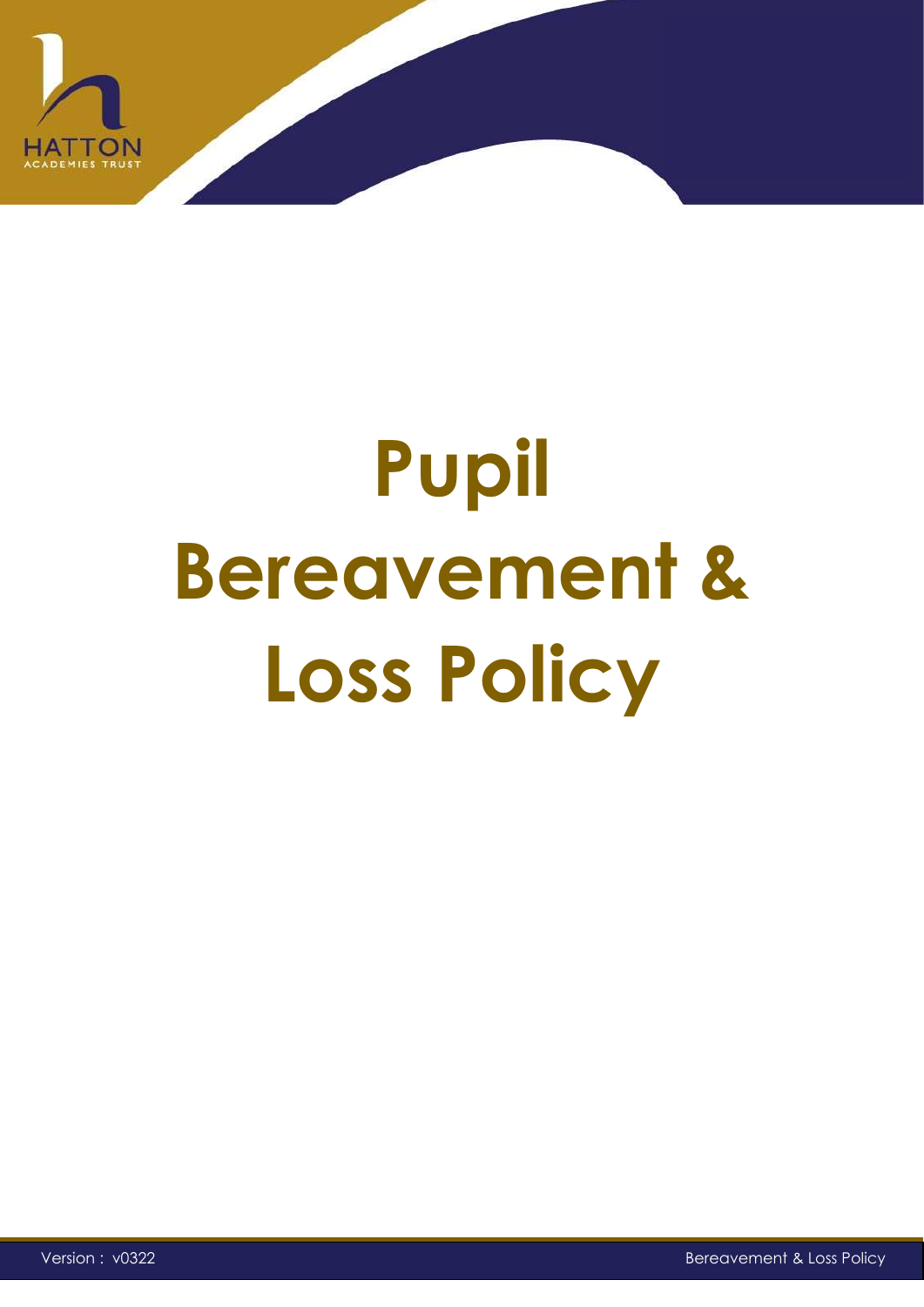

# **Pupil Bereavement & Loss Policy**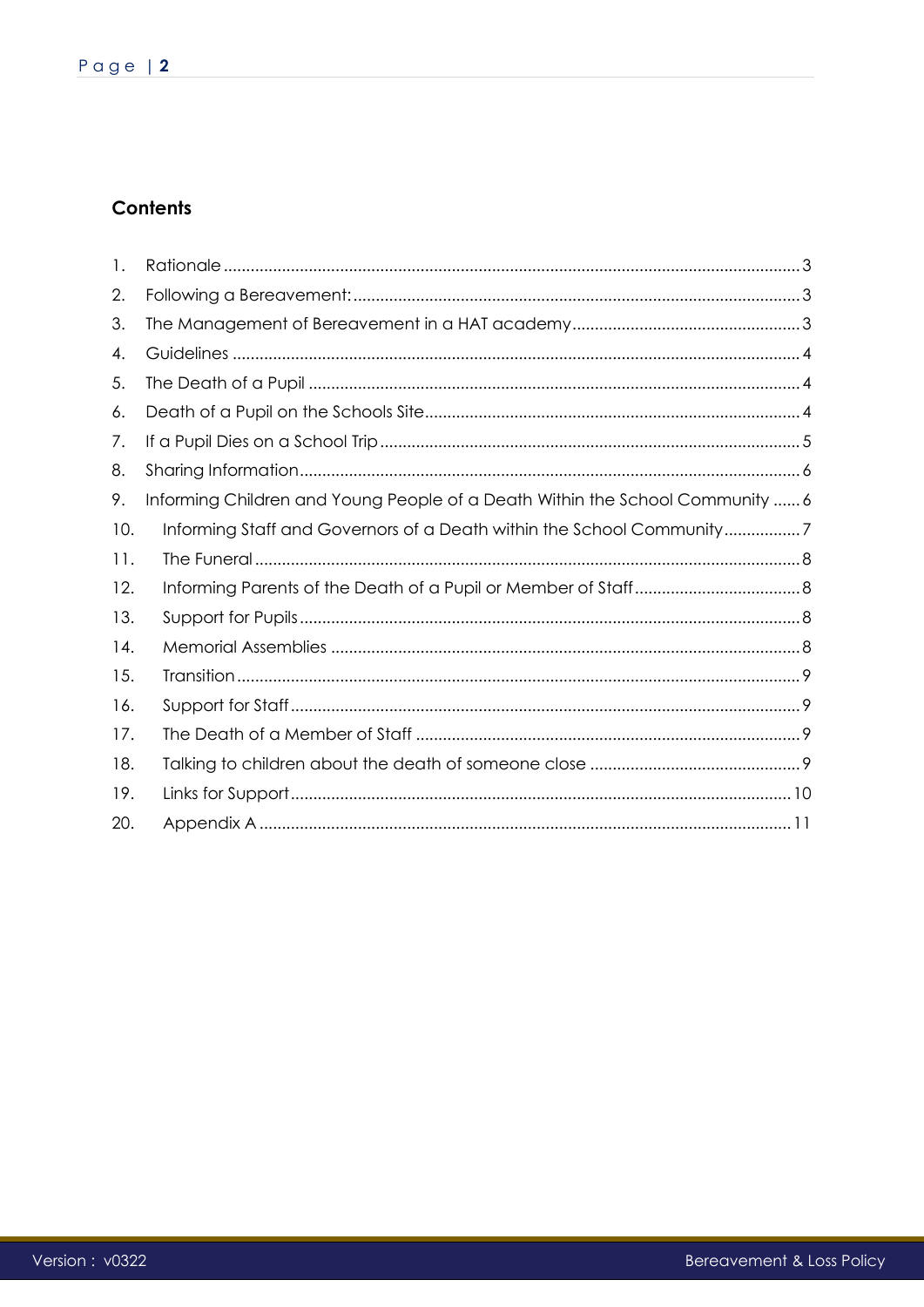# **Contents**

| 1.  |                                                                               |
|-----|-------------------------------------------------------------------------------|
| 2.  |                                                                               |
| 3.  |                                                                               |
| 4.  |                                                                               |
| 5.  |                                                                               |
| 6.  |                                                                               |
| 7.  |                                                                               |
| 8.  |                                                                               |
| 9.  | Informing Children and Young People of a Death Within the School Community  6 |
| 10. | Informing Staff and Governors of a Death within the School Community7         |
| 11. |                                                                               |
| 12. |                                                                               |
| 13. |                                                                               |
| 14. |                                                                               |
| 15. |                                                                               |
| 16. |                                                                               |
| 17. |                                                                               |
| 18. |                                                                               |
| 19. |                                                                               |
| 20. |                                                                               |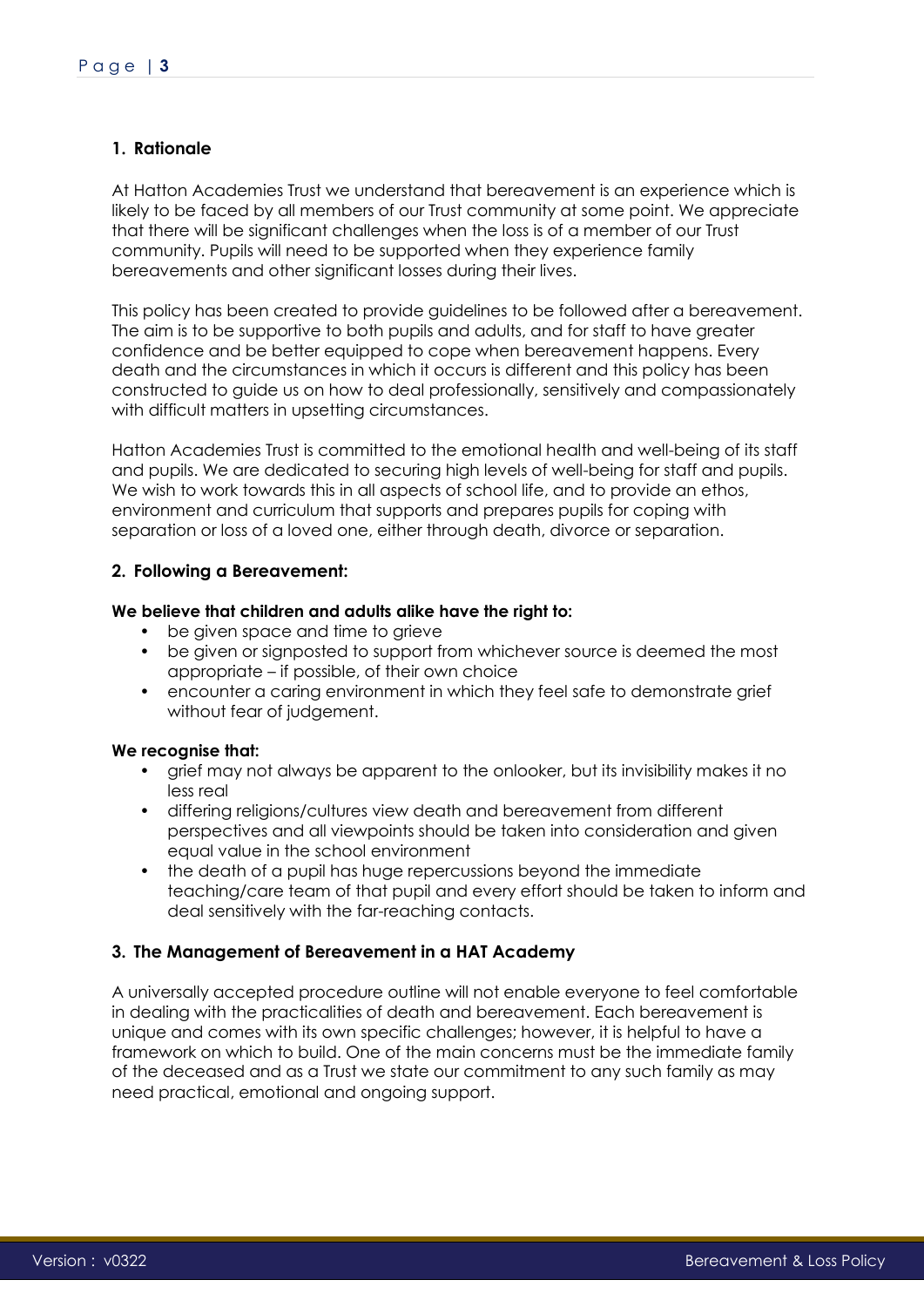# <span id="page-2-0"></span>**1. Rationale**

At Hatton Academies Trust we understand that bereavement is an experience which is likely to be faced by all members of our Trust community at some point. We appreciate that there will be significant challenges when the loss is of a member of our Trust community. Pupils will need to be supported when they experience family bereavements and other significant losses during their lives.

This policy has been created to provide guidelines to be followed after a bereavement. The aim is to be supportive to both pupils and adults, and for staff to have greater confidence and be better equipped to cope when bereavement happens. Every death and the circumstances in which it occurs is different and this policy has been constructed to guide us on how to deal professionally, sensitively and compassionately with difficult matters in upsetting circumstances.

Hatton Academies Trust is committed to the emotional health and well-being of its staff and pupils. We are dedicated to securing high levels of well-being for staff and pupils. We wish to work towards this in all aspects of school life, and to provide an ethos, environment and curriculum that supports and prepares pupils for coping with separation or loss of a loved one, either through death, divorce or separation.

### <span id="page-2-1"></span>**2. Following a Bereavement:**

### **We believe that children and adults alike have the right to:**

- be given space and time to grieve
- be given or signposted to support from whichever source is deemed the most appropriate – if possible, of their own choice
- encounter a caring environment in which they feel safe to demonstrate grief without fear of judgement.

### **We recognise that:**

- grief may not always be apparent to the onlooker, but its invisibility makes it no less real
- differing religions/cultures view death and bereavement from different perspectives and all viewpoints should be taken into consideration and given equal value in the school environment
- the death of a pupil has huge repercussions beyond the immediate teaching/care team of that pupil and every effort should be taken to inform and deal sensitively with the far-reaching contacts.

### <span id="page-2-2"></span>**3. The Management of Bereavement in a HAT Academy**

A universally accepted procedure outline will not enable everyone to feel comfortable in dealing with the practicalities of death and bereavement. Each bereavement is unique and comes with its own specific challenges; however, it is helpful to have a framework on which to build. One of the main concerns must be the immediate family of the deceased and as a Trust we state our commitment to any such family as may need practical, emotional and ongoing support.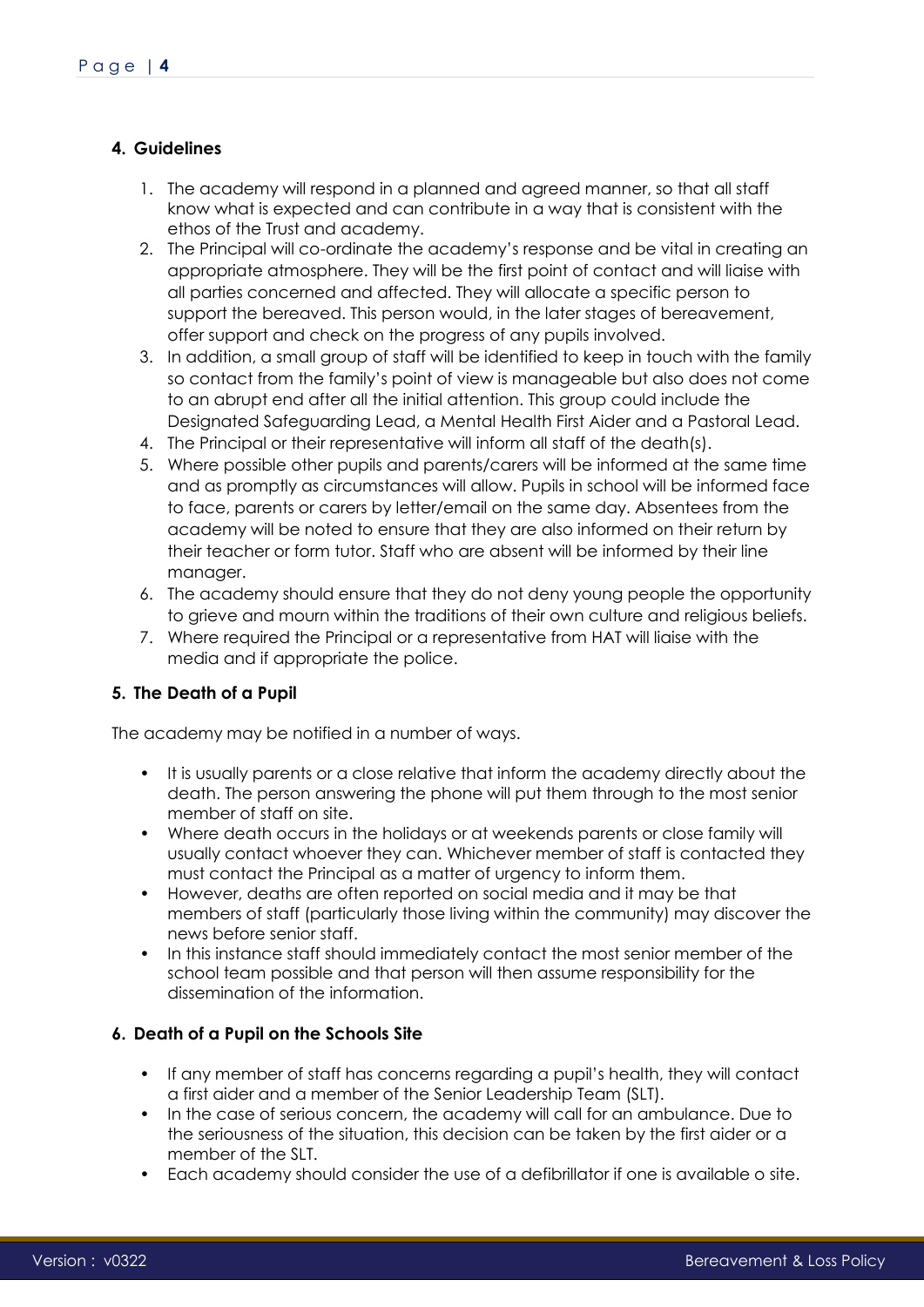# <span id="page-3-0"></span>**4. Guidelines**

- 1. The academy will respond in a planned and agreed manner, so that all staff know what is expected and can contribute in a way that is consistent with the ethos of the Trust and academy.
- 2. The Principal will co-ordinate the academy's response and be vital in creating an appropriate atmosphere. They will be the first point of contact and will liaise with all parties concerned and affected. They will allocate a specific person to support the bereaved. This person would, in the later stages of bereavement, offer support and check on the progress of any pupils involved.
- 3. In addition, a small group of staff will be identified to keep in touch with the family so contact from the family's point of view is manageable but also does not come to an abrupt end after all the initial attention. This group could include the Designated Safeguarding Lead, a Mental Health First Aider and a Pastoral Lead.
- 4. The Principal or their representative will inform all staff of the death(s).
- 5. Where possible other pupils and parents/carers will be informed at the same time and as promptly as circumstances will allow. Pupils in school will be informed face to face, parents or carers by letter/email on the same day. Absentees from the academy will be noted to ensure that they are also informed on their return by their teacher or form tutor. Staff who are absent will be informed by their line manager.
- 6. The academy should ensure that they do not deny young people the opportunity to grieve and mourn within the traditions of their own culture and religious beliefs.
- 7. Where required the Principal or a representative from HAT will liaise with the media and if appropriate the police.

# <span id="page-3-1"></span>**5. The Death of a Pupil**

The academy may be notified in a number of ways.

- It is usually parents or a close relative that inform the academy directly about the death. The person answering the phone will put them through to the most senior member of staff on site.
- Where death occurs in the holidays or at weekends parents or close family will usually contact whoever they can. Whichever member of staff is contacted they must contact the Principal as a matter of urgency to inform them.
- However, deaths are often reported on social media and it may be that members of staff (particularly those living within the community) may discover the news before senior staff.
- In this instance staff should immediately contact the most senior member of the school team possible and that person will then assume responsibility for the dissemination of the information.

# <span id="page-3-2"></span>**6. Death of a Pupil on the Schools Site**

- If any member of staff has concerns regarding a pupil's health, they will contact a first aider and a member of the Senior Leadership Team (SLT).
- In the case of serious concern, the academy will call for an ambulance. Due to the seriousness of the situation, this decision can be taken by the first aider or a member of the SLT.
- Each academy should consider the use of a defibrillator if one is available o site.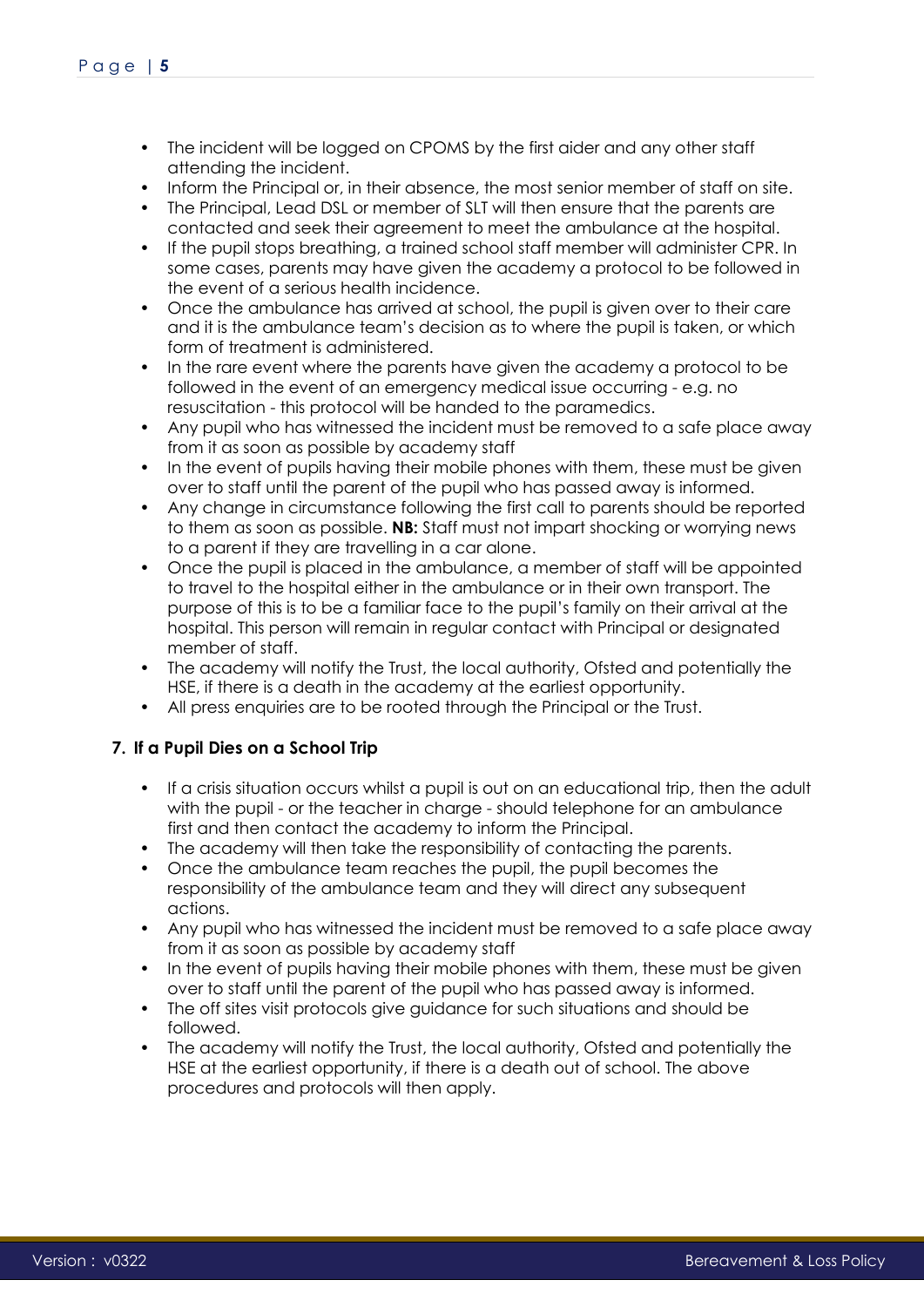- The incident will be logged on CPOMS by the first aider and any other staff attending the incident.
- Inform the Principal or, in their absence, the most senior member of staff on site.
- The Principal, Lead DSL or member of SLT will then ensure that the parents are contacted and seek their agreement to meet the ambulance at the hospital.
- If the pupil stops breathing, a trained school staff member will administer CPR. In some cases, parents may have given the academy a protocol to be followed in the event of a serious health incidence.
- Once the ambulance has arrived at school, the pupil is given over to their care and it is the ambulance team's decision as to where the pupil is taken, or which form of treatment is administered.
- In the rare event where the parents have given the academy a protocol to be followed in the event of an emergency medical issue occurring - e.g. no resuscitation - this protocol will be handed to the paramedics.
- Any pupil who has witnessed the incident must be removed to a safe place away from it as soon as possible by academy staff
- In the event of pupils having their mobile phones with them, these must be given over to staff until the parent of the pupil who has passed away is informed.
- Any change in circumstance following the first call to parents should be reported to them as soon as possible. **NB:** Staff must not impart shocking or worrying news to a parent if they are travelling in a car alone.
- Once the pupil is placed in the ambulance, a member of staff will be appointed to travel to the hospital either in the ambulance or in their own transport. The purpose of this is to be a familiar face to the pupil's family on their arrival at the hospital. This person will remain in regular contact with Principal or designated member of staff.
- The academy will notify the Trust, the local authority, Ofsted and potentially the HSE, if there is a death in the academy at the earliest opportunity.
- All press enquiries are to be rooted through the Principal or the Trust.

# <span id="page-4-0"></span>**7. If a Pupil Dies on a School Trip**

- If a crisis situation occurs whilst a pupil is out on an educational trip, then the adult with the pupil - or the teacher in charge - should telephone for an ambulance first and then contact the academy to inform the Principal.
- The academy will then take the responsibility of contacting the parents.
- Once the ambulance team reaches the pupil, the pupil becomes the responsibility of the ambulance team and they will direct any subsequent actions.
- Any pupil who has witnessed the incident must be removed to a safe place away from it as soon as possible by academy staff
- In the event of pupils having their mobile phones with them, these must be given over to staff until the parent of the pupil who has passed away is informed.
- The off sites visit protocols give guidance for such situations and should be followed.
- The academy will notify the Trust, the local authority, Ofsted and potentially the HSE at the earliest opportunity, if there is a death out of school. The above procedures and protocols will then apply.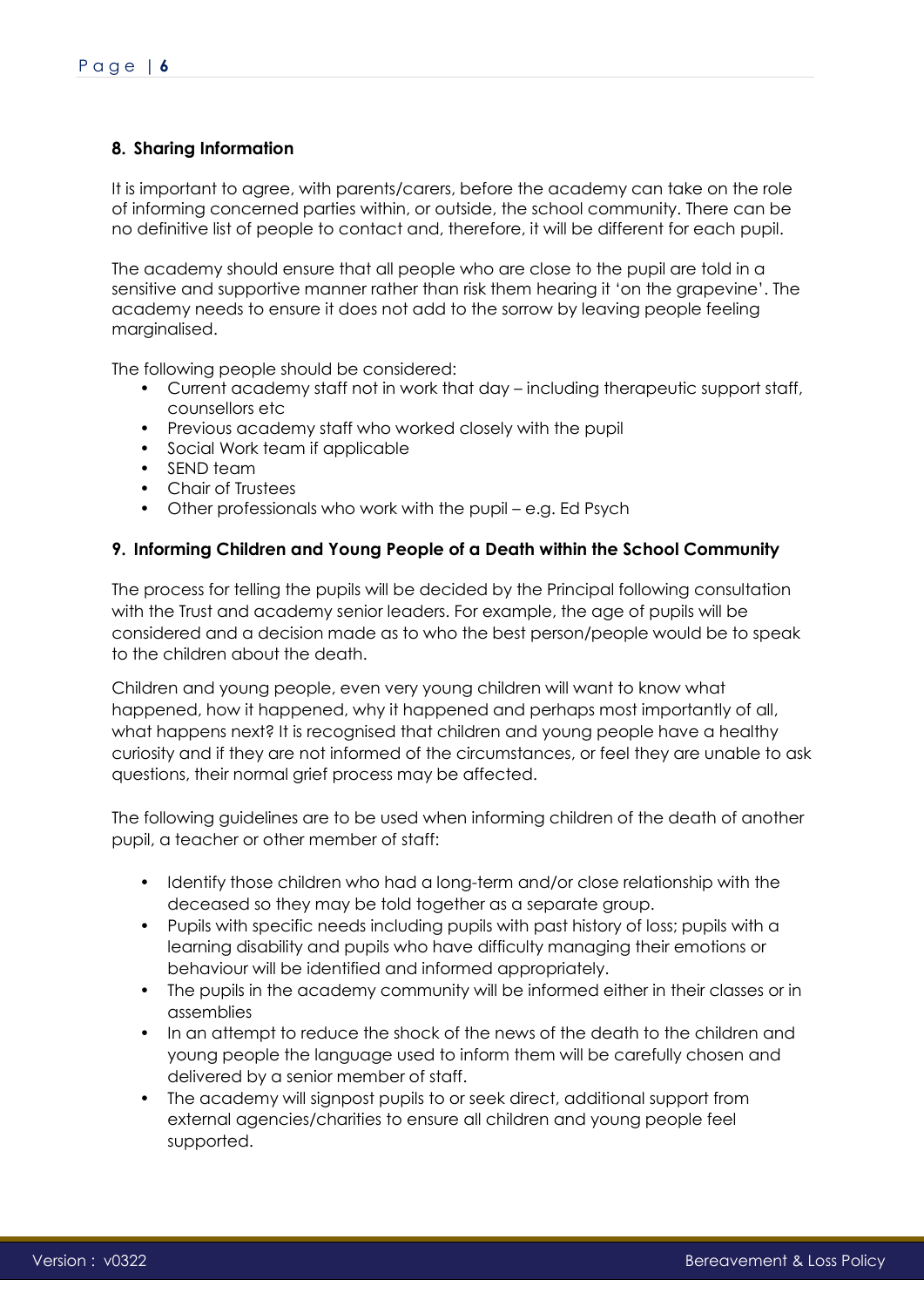# <span id="page-5-0"></span>**8. Sharing Information**

It is important to agree, with parents/carers, before the academy can take on the role of informing concerned parties within, or outside, the school community. There can be no definitive list of people to contact and, therefore, it will be different for each pupil.

The academy should ensure that all people who are close to the pupil are told in a sensitive and supportive manner rather than risk them hearing it 'on the grapevine'. The academy needs to ensure it does not add to the sorrow by leaving people feeling marginalised.

The following people should be considered:

- Current academy staff not in work that day including therapeutic support staff, counsellors etc
- Previous academy staff who worked closely with the pupil
- Social Work team if applicable
- SEND team
- Chair of Trustees
- Other professionals who work with the pupil e.g. Ed Psych

### <span id="page-5-1"></span>**9. Informing Children and Young People of a Death within the School Community**

The process for telling the pupils will be decided by the Principal following consultation with the Trust and academy senior leaders. For example, the age of pupils will be considered and a decision made as to who the best person/people would be to speak to the children about the death.

Children and young people, even very young children will want to know what happened, how it happened, why it happened and perhaps most importantly of all, what happens next? It is recognised that children and young people have a healthy curiosity and if they are not informed of the circumstances, or feel they are unable to ask questions, their normal grief process may be affected.

The following guidelines are to be used when informing children of the death of another pupil, a teacher or other member of staff:

- Identify those children who had a long-term and/or close relationship with the deceased so they may be told together as a separate group.
- Pupils with specific needs including pupils with past history of loss; pupils with a learning disability and pupils who have difficulty managing their emotions or behaviour will be identified and informed appropriately.
- The pupils in the academy community will be informed either in their classes or in assemblies
- In an attempt to reduce the shock of the news of the death to the children and young people the language used to inform them will be carefully chosen and delivered by a senior member of staff.
- The academy will signpost pupils to or seek direct, additional support from external agencies/charities to ensure all children and young people feel supported.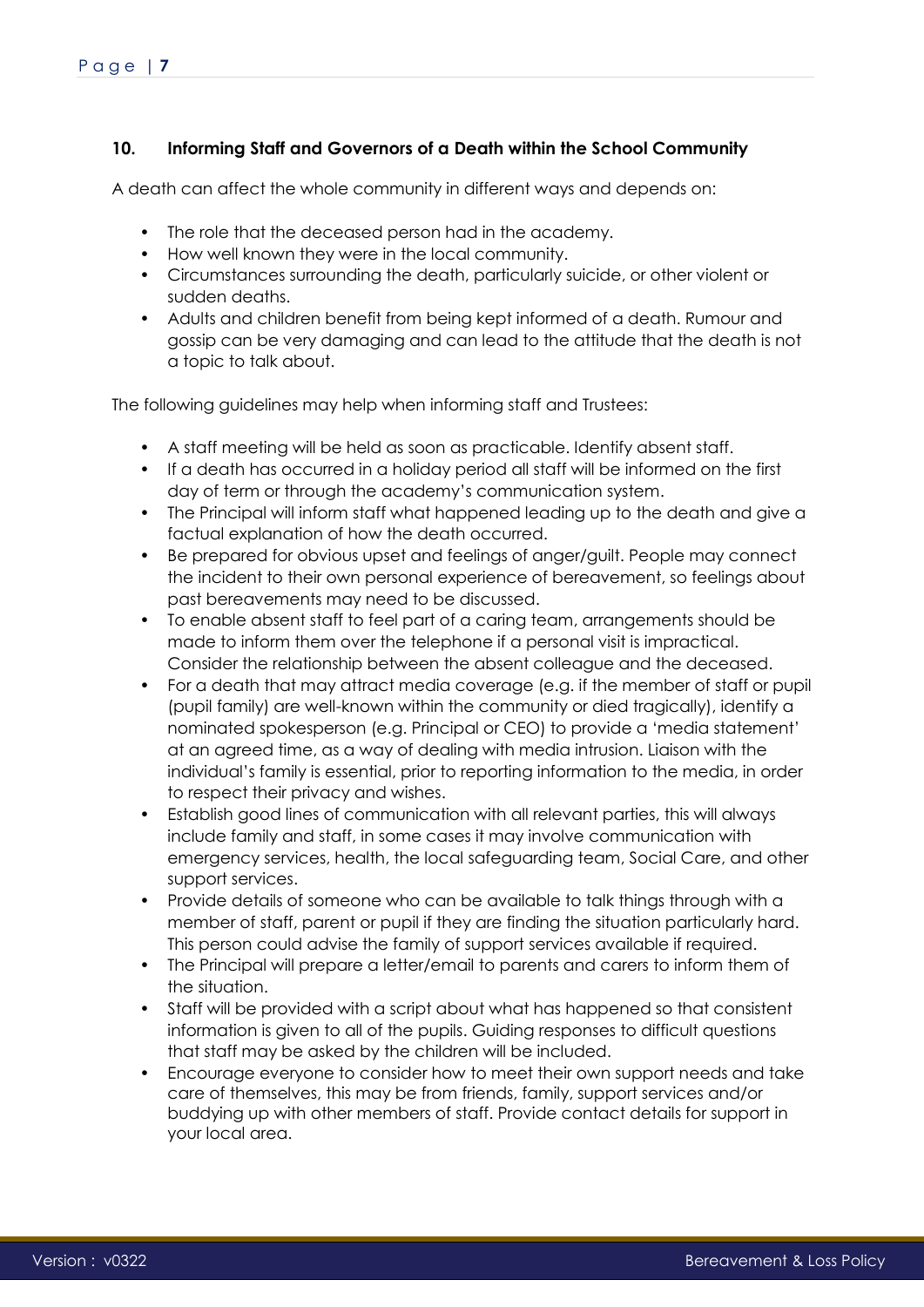# <span id="page-6-0"></span>**10. Informing Staff and Governors of a Death within the School Community**

A death can affect the whole community in different ways and depends on:

- The role that the deceased person had in the academy.
- How well known they were in the local community.
- Circumstances surrounding the death, particularly suicide, or other violent or sudden deaths.
- Adults and children benefit from being kept informed of a death. Rumour and gossip can be very damaging and can lead to the attitude that the death is not a topic to talk about.

The following guidelines may help when informing staff and Trustees:

- A staff meeting will be held as soon as practicable. Identify absent staff.
- If a death has occurred in a holiday period all staff will be informed on the first day of term or through the academy's communication system.
- The Principal will inform staff what happened leading up to the death and give a factual explanation of how the death occurred.
- Be prepared for obvious upset and feelings of anger/guilt. People may connect the incident to their own personal experience of bereavement, so feelings about past bereavements may need to be discussed.
- To enable absent staff to feel part of a caring team, arrangements should be made to inform them over the telephone if a personal visit is impractical. Consider the relationship between the absent colleague and the deceased.
- For a death that may attract media coverage (e.g. if the member of staff or pupil (pupil family) are well-known within the community or died tragically), identify a nominated spokesperson (e.g. Principal or CEO) to provide a 'media statement' at an agreed time, as a way of dealing with media intrusion. Liaison with the individual's family is essential, prior to reporting information to the media, in order to respect their privacy and wishes.
- Establish good lines of communication with all relevant parties, this will always include family and staff, in some cases it may involve communication with emergency services, health, the local safeguarding team, Social Care, and other support services.
- Provide details of someone who can be available to talk things through with a member of staff, parent or pupil if they are finding the situation particularly hard. This person could advise the family of support services available if required.
- The Principal will prepare a letter/email to parents and carers to inform them of the situation.
- Staff will be provided with a script about what has happened so that consistent information is given to all of the pupils. Guiding responses to difficult questions that staff may be asked by the children will be included.
- Encourage everyone to consider how to meet their own support needs and take care of themselves, this may be from friends, family, support services and/or buddying up with other members of staff. Provide contact details for support in your local area.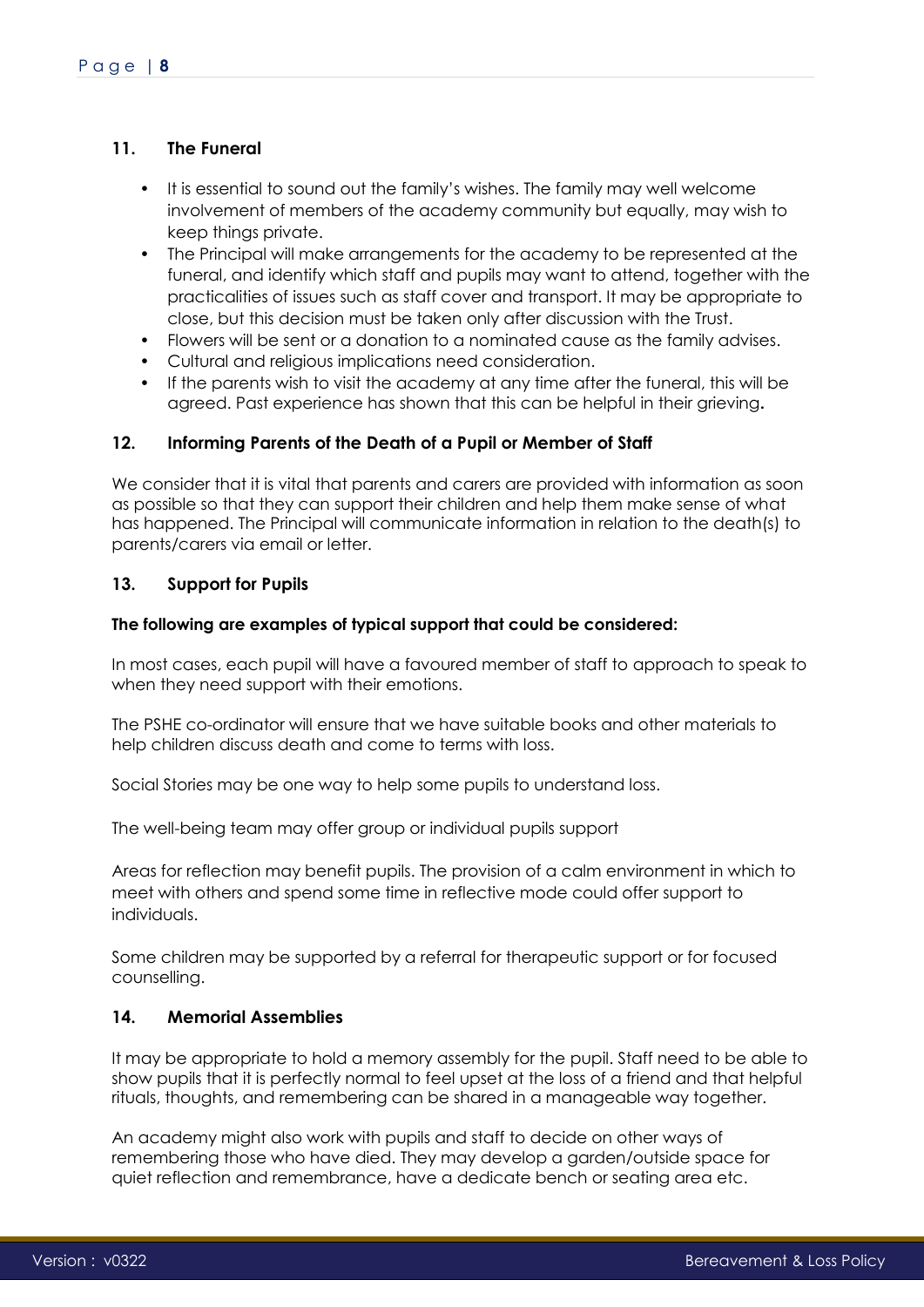# <span id="page-7-0"></span>**11. The Funeral**

- It is essential to sound out the family's wishes. The family may well welcome involvement of members of the academy community but equally, may wish to keep things private.
- The Principal will make arrangements for the academy to be represented at the funeral, and identify which staff and pupils may want to attend, together with the practicalities of issues such as staff cover and transport. It may be appropriate to close, but this decision must be taken only after discussion with the Trust.
- Flowers will be sent or a donation to a nominated cause as the family advises.
- Cultural and religious implications need consideration.
- If the parents wish to visit the academy at any time after the funeral, this will be agreed. Past experience has shown that this can be helpful in their grieving**.**

# <span id="page-7-1"></span>**12. Informing Parents of the Death of a Pupil or Member of Staff**

We consider that it is vital that parents and carers are provided with information as soon as possible so that they can support their children and help them make sense of what has happened. The Principal will communicate information in relation to the death(s) to parents/carers via email or letter.

# <span id="page-7-2"></span>**13. Support for Pupils**

### **The following are examples of typical support that could be considered:**

In most cases, each pupil will have a favoured member of staff to approach to speak to when they need support with their emotions.

The PSHE co-ordinator will ensure that we have suitable books and other materials to help children discuss death and come to terms with loss.

Social Stories may be one way to help some pupils to understand loss.

The well-being team may offer group or individual pupils support

Areas for reflection may benefit pupils. The provision of a calm environment in which to meet with others and spend some time in reflective mode could offer support to individuals.

Some children may be supported by a referral for therapeutic support or for focused counselling.

# <span id="page-7-3"></span>**14. Memorial Assemblies**

It may be appropriate to hold a memory assembly for the pupil. Staff need to be able to show pupils that it is perfectly normal to feel upset at the loss of a friend and that helpful rituals, thoughts, and remembering can be shared in a manageable way together.

An academy might also work with pupils and staff to decide on other ways of remembering those who have died. They may develop a garden/outside space for quiet reflection and remembrance, have a dedicate bench or seating area etc.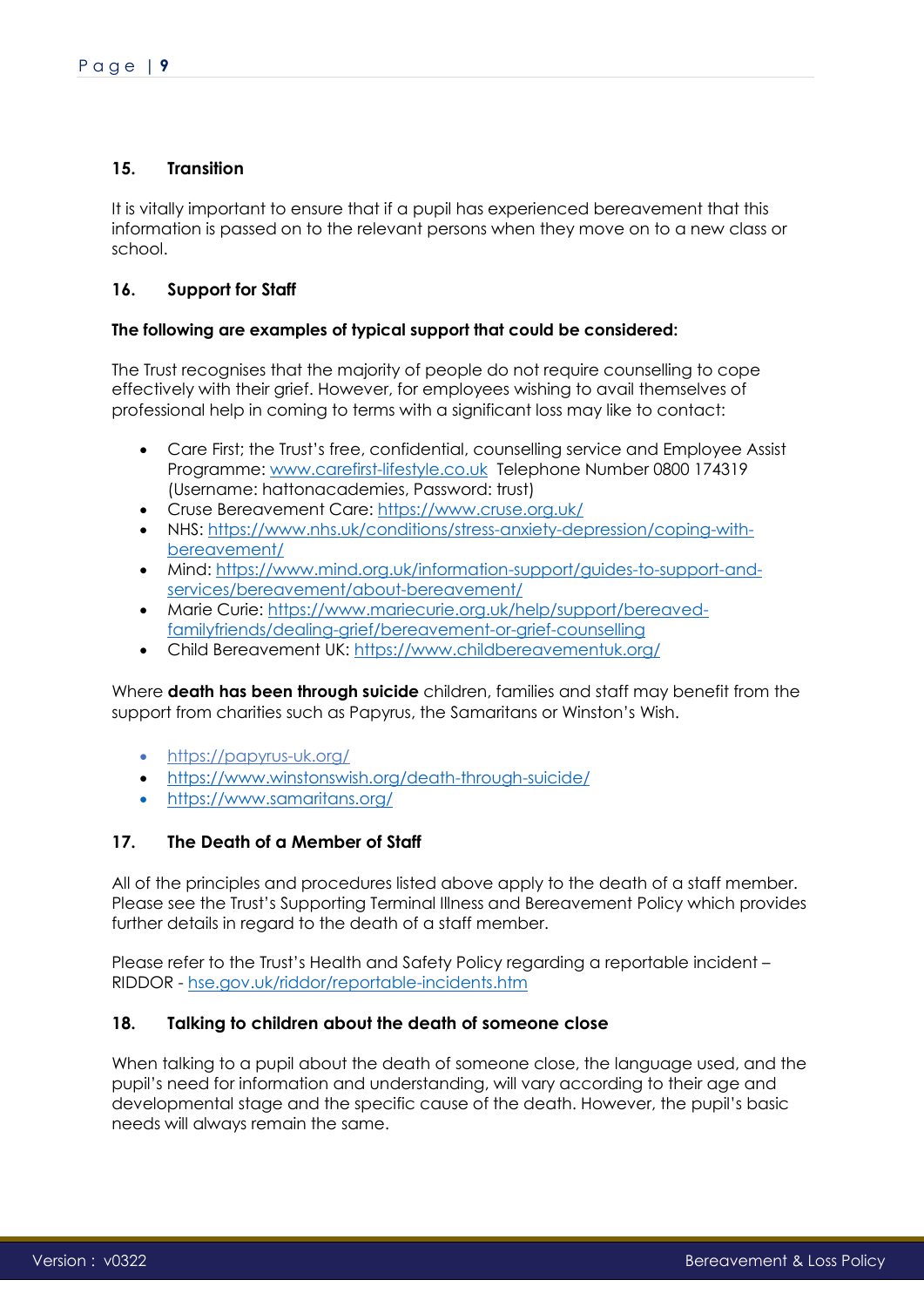# <span id="page-8-0"></span>**15. Transition**

It is vitally important to ensure that if a pupil has experienced bereavement that this information is passed on to the relevant persons when they move on to a new class or school.

# <span id="page-8-1"></span>**16. Support for Staff**

### **The following are examples of typical support that could be considered:**

The Trust recognises that the majority of people do not require counselling to cope effectively with their grief. However, for employees wishing to avail themselves of professional help in coming to terms with a significant loss may like to contact:

- Care First; the Trust's free, confidential, counselling service and Employee Assist Programme: [www.carefirst-lifestyle.co.uk](http://www.carefirst-lifestyle.co.uk/) Telephone Number 0800 174319 (Username: hattonacademies, Password: trust)
- Cruse Bereavement Care:<https://www.cruse.org.uk/><br>• NHS: https://www.nhs.uk/conditions/stress-anxiety-der
- NHS: [https://www.nhs.uk/conditions/stress-anxiety-depression/coping-with](https://www.nhs.uk/conditions/stress-anxiety-depression/coping-with-bereavement/)[bereavement/](https://www.nhs.uk/conditions/stress-anxiety-depression/coping-with-bereavement/)
- Mind: [https://www.mind.org.uk/information-support/guides-to-support-and](https://www.mind.org.uk/information-support/guides-to-support-and-services/bereavement/about-bereavement/)[services/bereavement/about-bereavement/](https://www.mind.org.uk/information-support/guides-to-support-and-services/bereavement/about-bereavement/)
- Marie Curie: [https://www.mariecurie.org.uk/help/support/bereaved](https://www.mariecurie.org.uk/help/support/bereaved-family-friends/dealing-grief/bereavement-or-grief-counselling)[familyfriends/dealing-grief/bereavement-or-grief-counselling](https://www.mariecurie.org.uk/help/support/bereaved-family-friends/dealing-grief/bereavement-or-grief-counselling)
- Child Bereavement UK:<https://www.childbereavementuk.org/>

Where **death has been through suicide** children, families and staff may benefit from the support from charities such as Papyrus, the Samaritans or Winston's Wish.

- <https://papyrus-uk.org/>
- <https://www.winstonswish.org/death-through-suicide/>
- <https://www.samaritans.org/>

# <span id="page-8-2"></span>**17. The Death of a Member of Staff**

All of the principles and procedures listed above apply to the death of a staff member. Please see the Trust's Supporting Terminal Illness and Bereavement Policy which provides further details in regard to the death of a staff member.

Please refer to the Trust's Health and Safety Policy regarding a reportable incident – RIDDOR - [hse.gov.uk/riddor/reportable-incidents.htm](https://www.hse.gov.uk/riddor/reportable-incidents.htm)

# <span id="page-8-3"></span>**18. Talking to children about the death of someone close**

When talking to a pupil about the death of someone close, the language used, and the pupil's need for information and understanding, will vary according to their age and developmental stage and the specific cause of the death. However, the pupil's basic needs will always remain the same.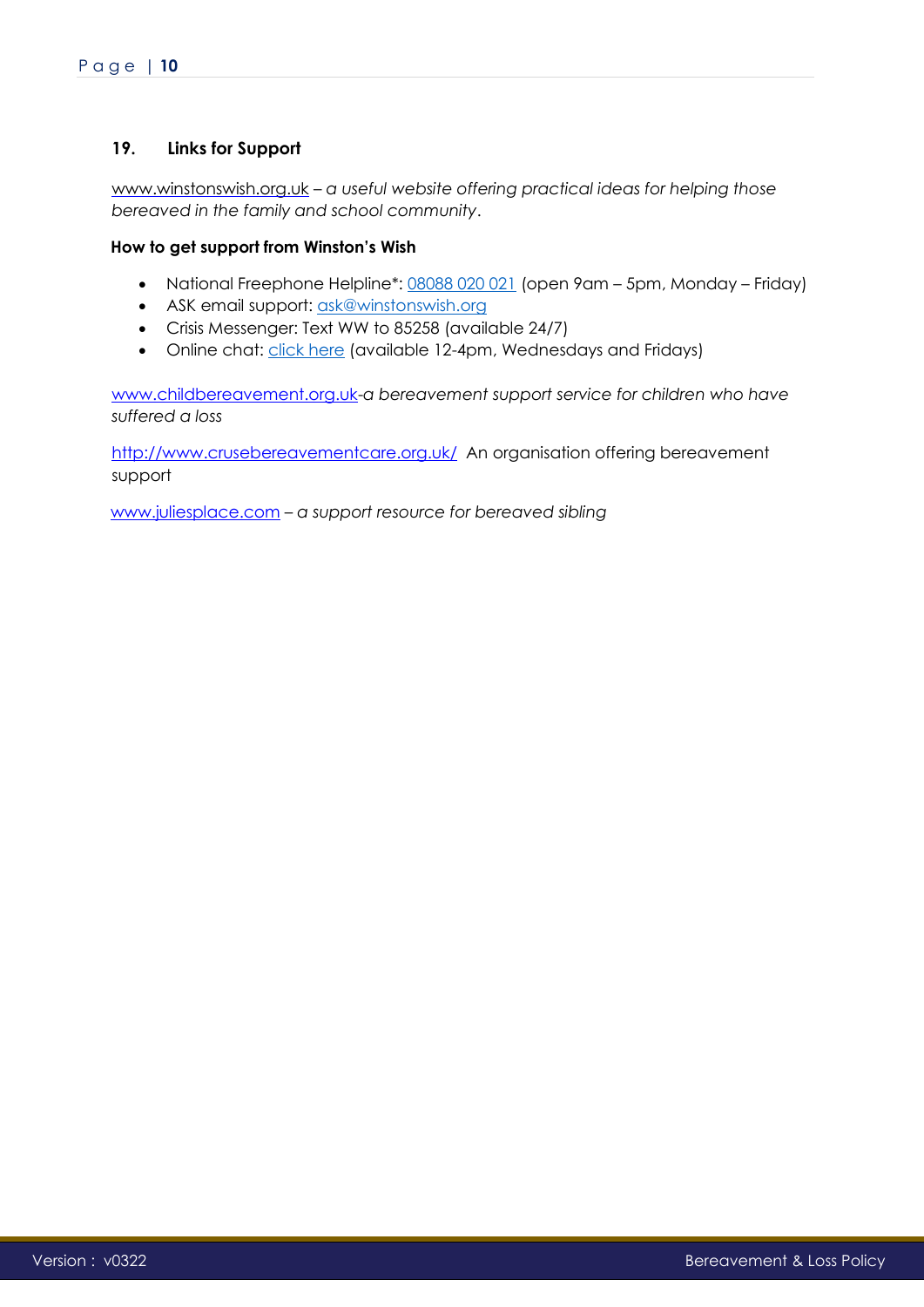# <span id="page-9-0"></span>**19. Links for Support**

[www.winstonswish.org.uk](http://www.winstonswish.org.uk/) – *a useful website offering practical ideas for helping those bereaved in the family and school community*.

### **How to get support from Winston's Wish**

- National Freephone Helpline\*: [08088 020 021](tel:448088020021) (open 9am 5pm, Monday Friday)
- ASK email support: [ask@winstonswish.org](mailto:ask@winstonswish.org)
- Crisis Messenger: Text WW to 85258 (available 24/7)
- Online chat: [click here](https://www.winstonswish.org/online-chat/) (available 12-4pm, Wednesdays and Fridays)

[www.childbereavement.org.uk-](http://www.childbereavement.org.uk/)*a bereavement support service for children who have suffered a loss* 

<http://www.crusebereavementcare.org.uk/>An organisation offering bereavement support

[www.juliesplace.com](http://www.juliesplace.com/) – *a support resource for bereaved sibling*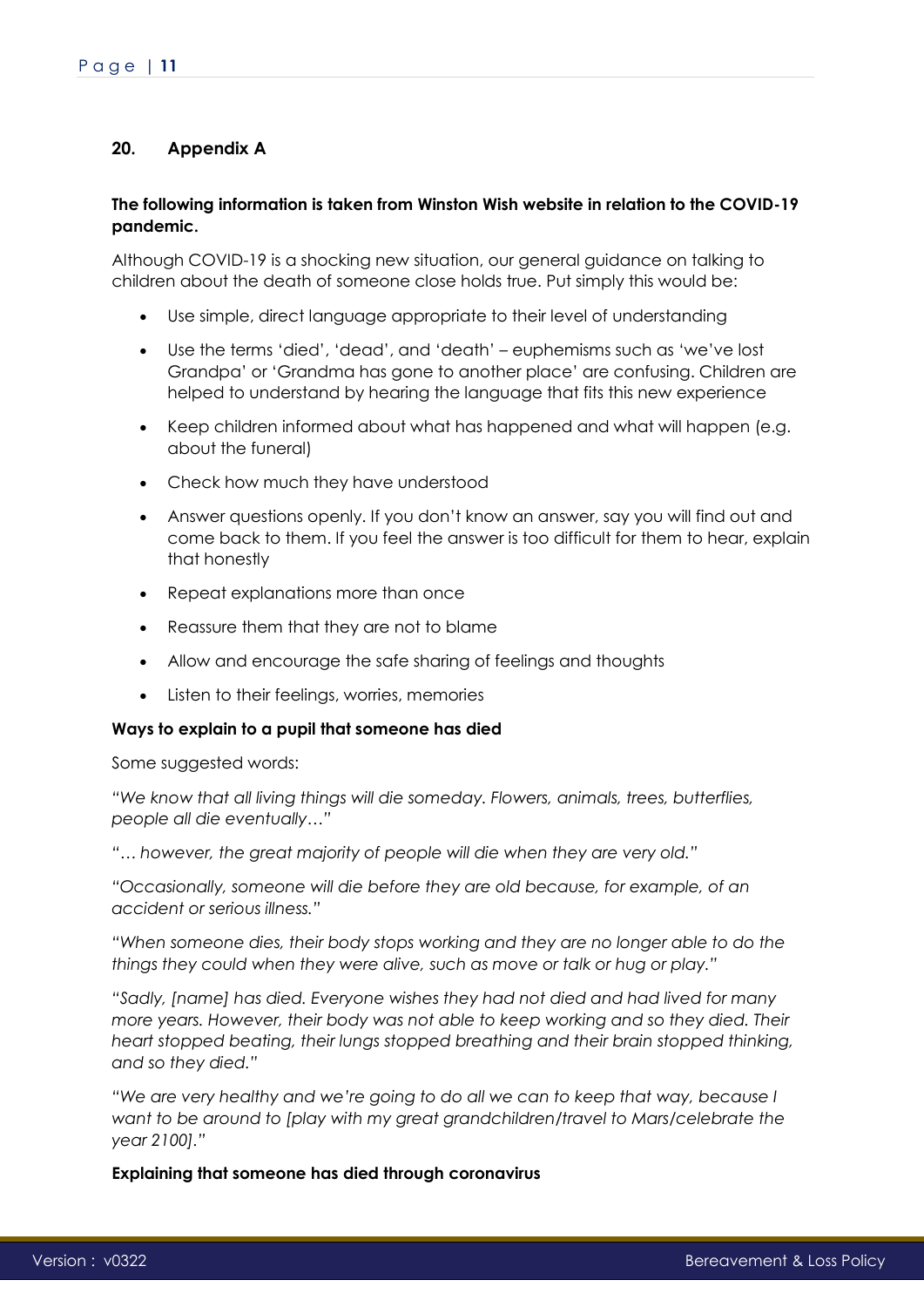# <span id="page-10-0"></span>**20. Appendix A**

### **The following information is taken from Winston Wish website in relation to the COVID-19 pandemic.**

Although COVID-19 is a shocking new situation, our general guidance on talking to children about the death of someone close holds true. Put simply this would be:

- Use simple, direct language appropriate to their level of understanding
- Use the terms 'died', 'dead', and 'death' euphemisms such as 'we've lost Grandpa' or 'Grandma has gone to another place' are confusing. Children are helped to understand by hearing the language that fits this new experience
- Keep children informed about what has happened and what will happen (e.g. about the funeral)
- Check how much they have understood
- Answer questions openly. If you don't know an answer, say you will find out and come back to them. If you feel the answer is too difficult for them to hear, explain that honestly
- Repeat explanations more than once
- Reassure them that they are not to blame
- Allow and encourage the safe sharing of feelings and thoughts
- Listen to their feelings, worries, memories

# **Ways to explain to a pupil that someone has died**

Some suggested words:

*"We know that all living things will die someday. Flowers, animals, trees, butterflies, people all die eventually…"*

*"… however, the great majority of people will die when they are very old."*

*"Occasionally, someone will die before they are old because, for example, of an accident or serious illness."*

*"When someone dies, their body stops working and they are no longer able to do the things they could when they were alive, such as move or talk or hug or play."*

*"Sadly, [name] has died. Everyone wishes they had not died and had lived for many more years. However, their body was not able to keep working and so they died. Their heart stopped beating, their lungs stopped breathing and their brain stopped thinking, and so they died."*

*"We are very healthy and we're going to do all we can to keep that way, because I want to be around to [play with my great grandchildren/travel to Mars/celebrate the year 2100]."*

**Explaining that someone has died through coronavirus**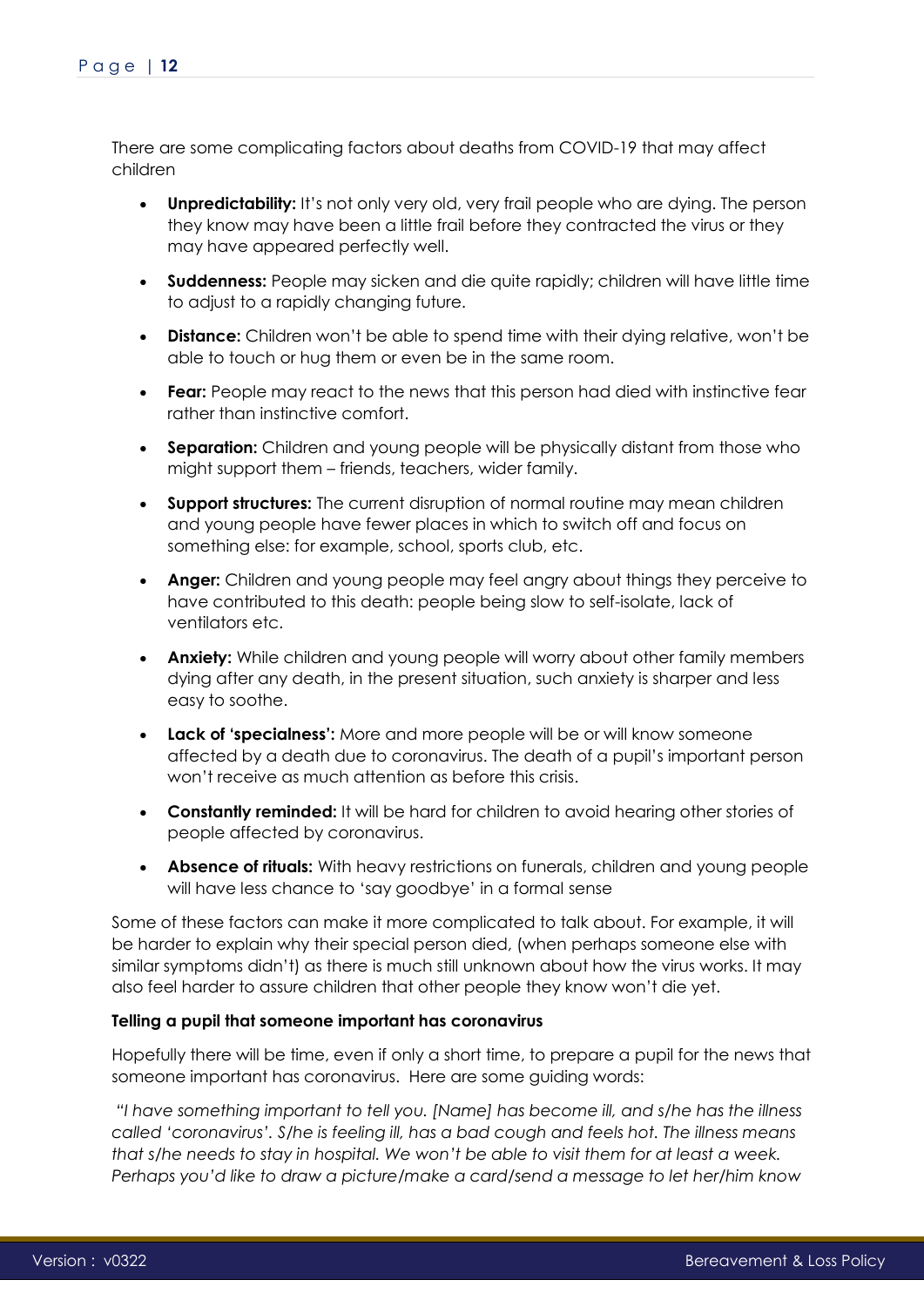There are some complicating factors about deaths from COVID-19 that may affect children

- **Unpredictability:** It's not only very old, very frail people who are dying. The person they know may have been a little frail before they contracted the virus or they may have appeared perfectly well.
- **Suddenness:** People may sicken and die quite rapidly; children will have little time to adjust to a rapidly changing future.
- **Distance:** Children won't be able to spend time with their dying relative, won't be able to touch or hug them or even be in the same room.
- **Fear:** People may react to the news that this person had died with instinctive fear rather than instinctive comfort.
- **Separation:** Children and young people will be physically distant from those who might support them – friends, teachers, wider family.
- **Support structures:** The current disruption of normal routine may mean children and young people have fewer places in which to switch off and focus on something else: for example, school, sports club, etc.
- **Anger:** Children and young people may feel angry about things they perceive to have contributed to this death: people being slow to self-isolate, lack of ventilators etc.
- **Anxiety:** While children and young people will worry about other family members dying after any death, in the present situation, such anxiety is sharper and less easy to soothe.
- **Lack of 'specialness':** More and more people will be or will know someone affected by a death due to coronavirus. The death of a pupil's important person won't receive as much attention as before this crisis.
- **Constantly reminded:** It will be hard for children to avoid hearing other stories of people affected by coronavirus.
- **Absence of rituals:** With heavy restrictions on funerals, children and young people will have less chance to 'say goodbye' in a formal sense

Some of these factors can make it more complicated to talk about. For example, it will be harder to explain why their special person died, (when perhaps someone else with similar symptoms didn't) as there is much still unknown about how the virus works. It may also feel harder to assure children that other people they know won't die yet.

### **Telling a pupil that someone important has coronavirus**

Hopefully there will be time, even if only a short time, to prepare a pupil for the news that someone important has coronavirus. Here are some guiding words:

*"I have something important to tell you. [Name] has become ill, and s/he has the illness called 'coronavirus'. S/he is feeling ill, has a bad cough and feels hot. The illness means that s/he needs to stay in hospital. We won't be able to visit them for at least a week. Perhaps you'd like to draw a picture/make a card/send a message to let her/him know*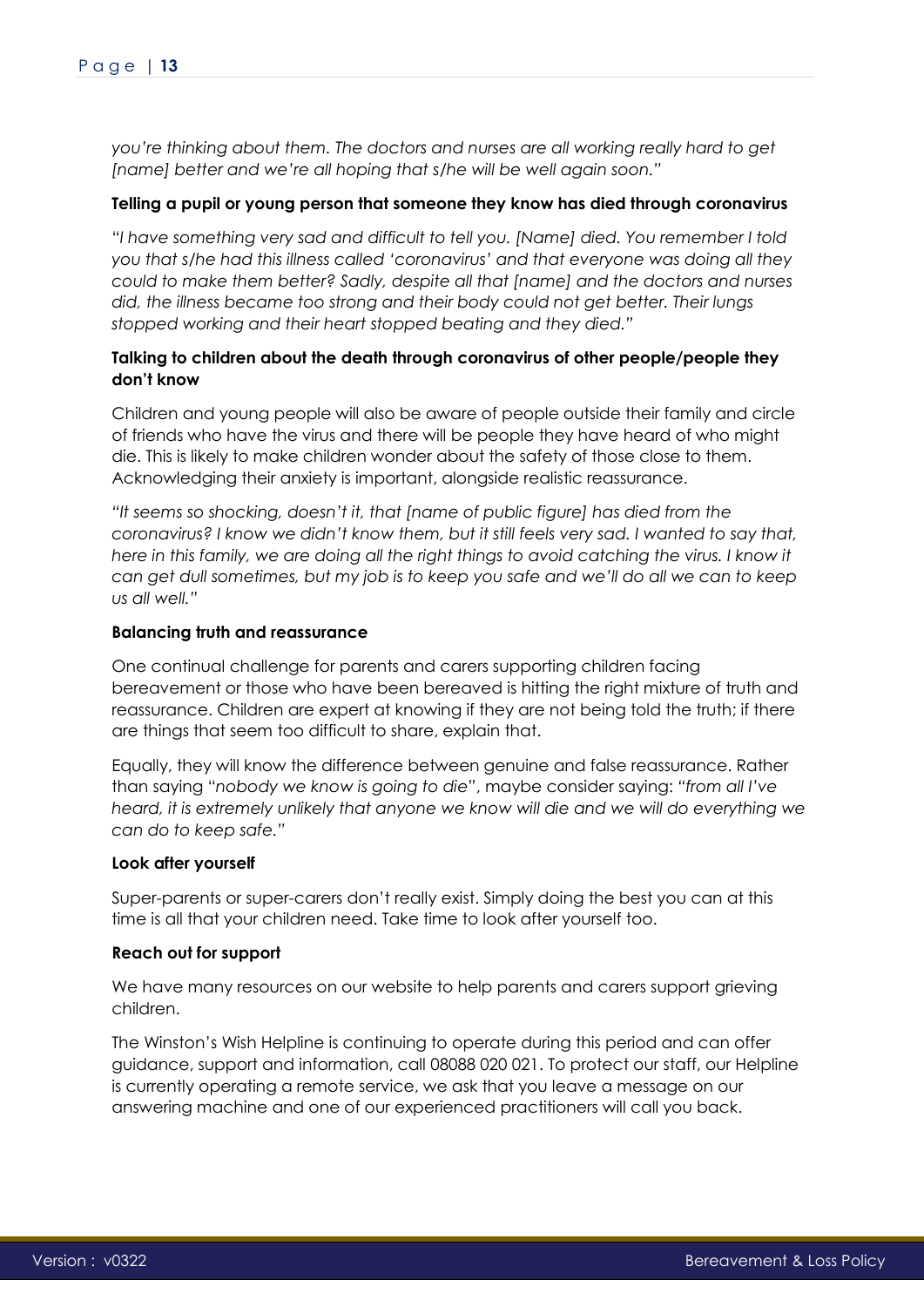*you're thinking about them. The doctors and nurses are all working really hard to get [name] better and we're all hoping that s/he will be well again soon."*

### **Telling a pupil or young person that someone they know has died through coronavirus**

*"I have something very sad and difficult to tell you. [Name] died. You remember I told you that s/he had this illness called 'coronavirus' and that everyone was doing all they could to make them better? Sadly, despite all that [name] and the doctors and nurses did, the illness became too strong and their body could not get better. Their lungs stopped working and their heart stopped beating and they died."*

### **Talking to children about the death through coronavirus of other people/people they don't know**

Children and young people will also be aware of people outside their family and circle of friends who have the virus and there will be people they have heard of who might die. This is likely to make children wonder about the safety of those close to them. Acknowledging their anxiety is important, alongside realistic reassurance.

*"It seems so shocking, doesn't it, that [name of public figure] has died from the coronavirus? I know we didn't know them, but it still feels very sad. I wanted to say that,*  here in this family, we are doing all the right things to avoid catching the virus. I know it *can get dull sometimes, but my job is to keep you safe and we'll do all we can to keep us all well."*

### **Balancing truth and reassurance**

One continual challenge for parents and carers supporting children facing bereavement or those who have been bereaved is hitting the right mixture of truth and reassurance. Children are expert at knowing if they are not being told the truth; if there are things that seem too difficult to share, explain that.

Equally, they will know the difference between genuine and false reassurance. Rather than saying "*nobody we know is going to die"*, maybe consider saying: *"from all I've heard, it is extremely unlikely that anyone we know will die and we will do everything we can do to keep safe."*

### **Look after yourself**

Super-parents or super-carers don't really exist. Simply doing the best you can at this time is all that your children need. Take time to look after yourself too.

### **Reach out for support**

We have many resources on our website to help parents and carers support grieving children.

The Winston's Wish Helpline is continuing to operate during this period and can offer guidance, support and information, call 08088 020 021. To protect our staff, our Helpline is currently operating a remote service, we ask that you leave a message on our answering machine and one of our experienced practitioners will call you back.